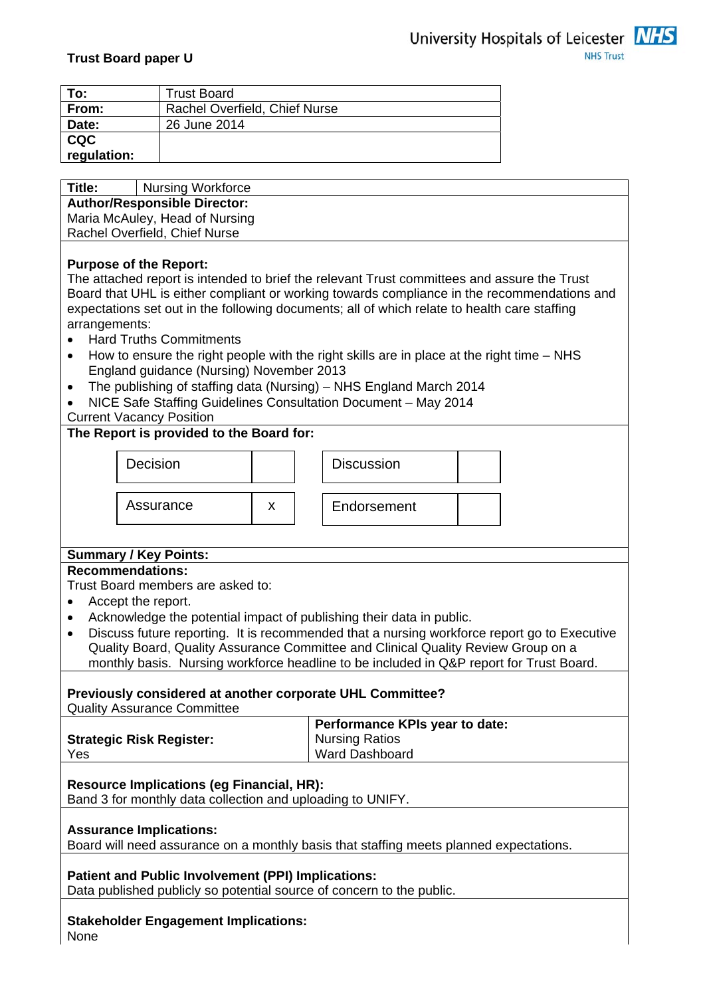

| To:                           | <b>Trust Board</b>                  |  |  |  |  |  |  |  |  |
|-------------------------------|-------------------------------------|--|--|--|--|--|--|--|--|
| From:                         | Rachel Overfield, Chief Nurse       |  |  |  |  |  |  |  |  |
| Date:                         | 26 June 2014                        |  |  |  |  |  |  |  |  |
| <b>CQC</b>                    |                                     |  |  |  |  |  |  |  |  |
| regulation:                   |                                     |  |  |  |  |  |  |  |  |
|                               |                                     |  |  |  |  |  |  |  |  |
| Title:                        | <b>Nursing Workforce</b>            |  |  |  |  |  |  |  |  |
|                               | <b>Author/Responsible Director:</b> |  |  |  |  |  |  |  |  |
|                               | Maria McAuley, Head of Nursing      |  |  |  |  |  |  |  |  |
| Rachel Overfield, Chief Nurse |                                     |  |  |  |  |  |  |  |  |
|                               |                                     |  |  |  |  |  |  |  |  |
| <b>Purpose of the Report:</b> |                                     |  |  |  |  |  |  |  |  |

The attached report is intended to brief the relevant Trust committees and assure the Trust Board that UHL is either compliant or working towards compliance in the recommendations and expectations set out in the following documents; all of which relate to health care staffing arrangements:

- Hard Truths Commitments
- How to ensure the right people with the right skills are in place at the right time NHS England guidance (Nursing) November 2013
- The publishing of staffing data (Nursing) NHS England March 2014
- NICE Safe Staffing Guidelines Consultation Document May 2014

Current Vacancy Position

#### **The Report is provided to the Board for:**



#### **Summary / Key Points:**

#### **Recommendations:**

Trust Board members are asked to:

- Accept the report.
- Acknowledge the potential impact of publishing their data in public.
- Discuss future reporting. It is recommended that a nursing workforce report go to Executive Quality Board, Quality Assurance Committee and Clinical Quality Review Group on a monthly basis. Nursing workforce headline to be included in Q&P report for Trust Board.

## **Previously considered at another corporate UHL Committee?**

Quality Assurance Committee

|                                 | Performance KPIs year to date: |
|---------------------------------|--------------------------------|
| <b>Strategic Risk Register:</b> | <b>Nursing Ratios</b>          |
| Yes                             | <b>Ward Dashboard</b>          |

#### **Resource Implications (eg Financial, HR):**

Band 3 for monthly data collection and uploading to UNIFY.

#### **Assurance Implications:**

Board will need assurance on a monthly basis that staffing meets planned expectations.

#### **Patient and Public Involvement (PPI) Implications:**

Data published publicly so potential source of concern to the public.

# **Stakeholder Engagement Implications:**

None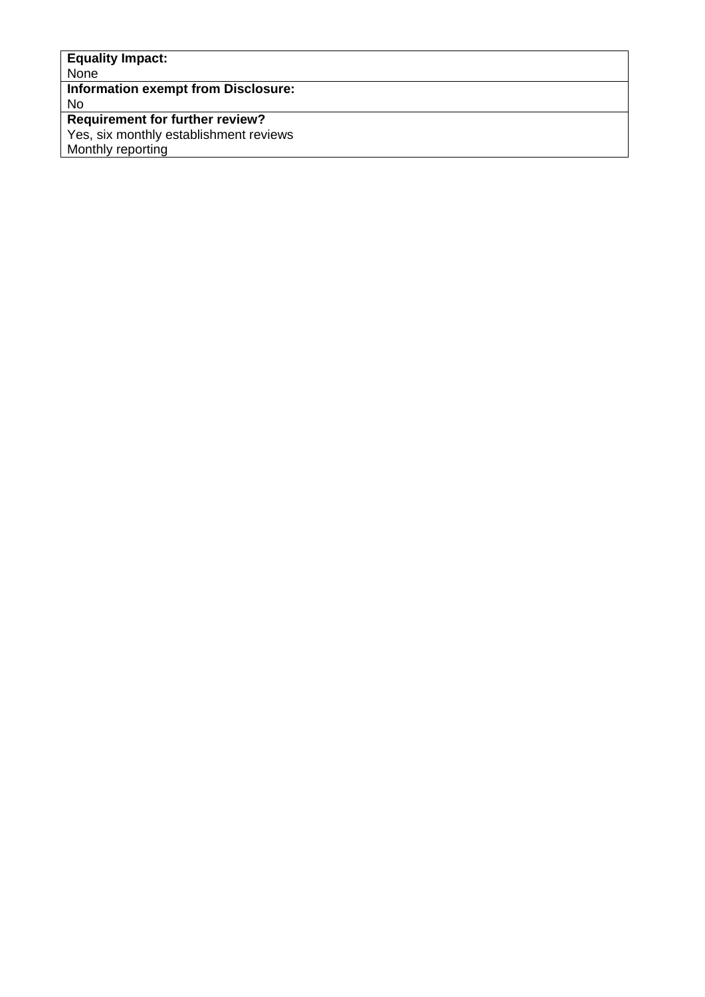| <b>Equality Impact:</b>                |  |
|----------------------------------------|--|
| None                                   |  |
| Information exempt from Disclosure:    |  |
| No                                     |  |
| <b>Requirement for further review?</b> |  |
| Yes, six monthly establishment reviews |  |
| Monthly reporting                      |  |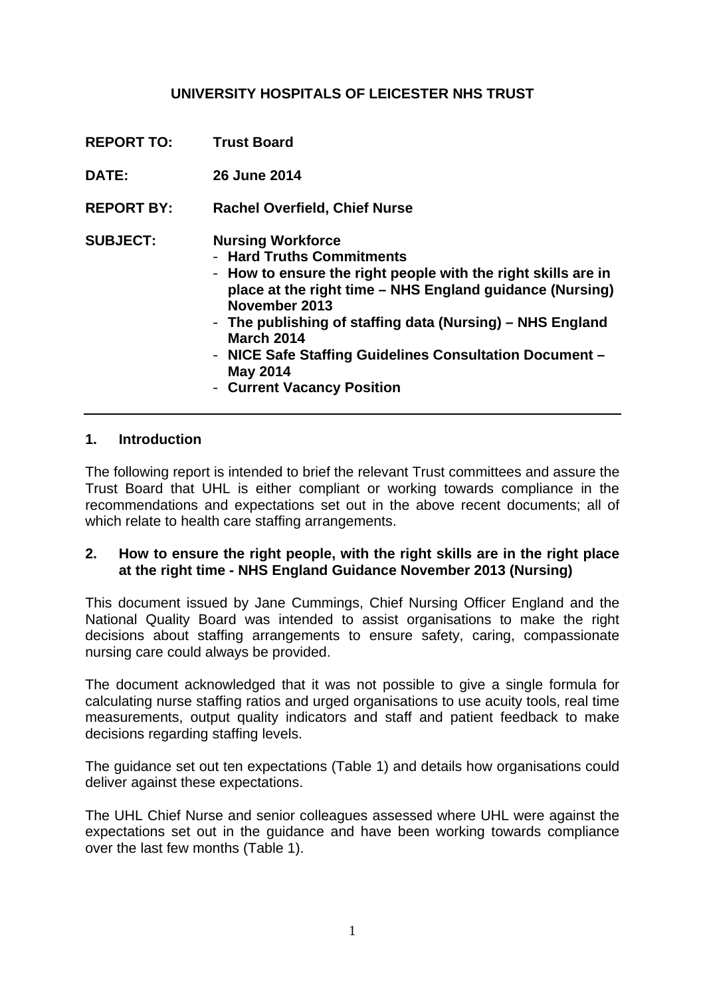## **UNIVERSITY HOSPITALS OF LEICESTER NHS TRUST**

- **REPORT TO: Trust Board**
- **DATE: 26 June 2014**
- **REPORT BY: Rachel Overfield, Chief Nurse**
- **SUBJECT: Nursing Workforce** 
	- **Hard Truths Commitments**
	- **How to ensure the right people with the right skills are in place at the right time – NHS England guidance (Nursing) November 2013**
	- **The publishing of staffing data (Nursing) NHS England March 2014**
	- **NICE Safe Staffing Guidelines Consultation Document May 2014**
	- **Current Vacancy Position**

#### **1. Introduction**

The following report is intended to brief the relevant Trust committees and assure the Trust Board that UHL is either compliant or working towards compliance in the recommendations and expectations set out in the above recent documents; all of which relate to health care staffing arrangements.

### **2. How to ensure the right people, with the right skills are in the right place at the right time - NHS England Guidance November 2013 (Nursing)**

This document issued by Jane Cummings, Chief Nursing Officer England and the National Quality Board was intended to assist organisations to make the right decisions about staffing arrangements to ensure safety, caring, compassionate nursing care could always be provided.

The document acknowledged that it was not possible to give a single formula for calculating nurse staffing ratios and urged organisations to use acuity tools, real time measurements, output quality indicators and staff and patient feedback to make decisions regarding staffing levels.

The guidance set out ten expectations (Table 1) and details how organisations could deliver against these expectations.

The UHL Chief Nurse and senior colleagues assessed where UHL were against the expectations set out in the guidance and have been working towards compliance over the last few months (Table 1).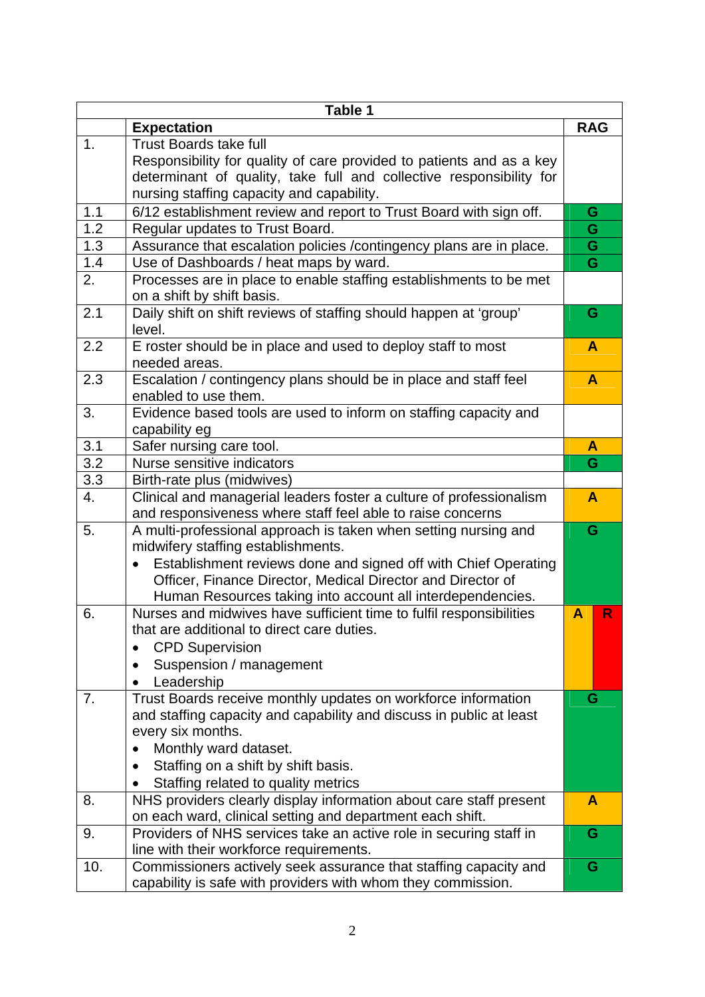|     | Table 1                                                                     |                         |
|-----|-----------------------------------------------------------------------------|-------------------------|
|     | <b>Expectation</b>                                                          | <b>RAG</b>              |
| 1.  | <b>Trust Boards take full</b>                                               |                         |
|     | Responsibility for quality of care provided to patients and as a key        |                         |
|     | determinant of quality, take full and collective responsibility for         |                         |
|     | nursing staffing capacity and capability.                                   |                         |
| 1.1 | 6/12 establishment review and report to Trust Board with sign off.          | G                       |
| 1.2 | Regular updates to Trust Board.                                             | G                       |
| 1.3 | Assurance that escalation policies / contingency plans are in place.        | $\overline{\mathsf{G}}$ |
| 1.4 | Use of Dashboards / heat maps by ward.                                      | G                       |
| 2.  | Processes are in place to enable staffing establishments to be met          |                         |
|     | on a shift by shift basis.                                                  |                         |
| 2.1 | Daily shift on shift reviews of staffing should happen at 'group'           | G                       |
|     | level.                                                                      |                         |
| 2.2 | E roster should be in place and used to deploy staff to most                | $\mathbf{A}$            |
|     | needed areas.                                                               |                         |
| 2.3 | Escalation / contingency plans should be in place and staff feel            | $\mathbf{A}$            |
|     | enabled to use them.                                                        |                         |
| 3.  | Evidence based tools are used to inform on staffing capacity and            |                         |
|     | capability eg                                                               |                         |
| 3.1 | Safer nursing care tool.                                                    | A                       |
| 3.2 | Nurse sensitive indicators                                                  | G                       |
| 3.3 | Birth-rate plus (midwives)                                                  |                         |
| 4.  | Clinical and managerial leaders foster a culture of professionalism         | $\mathbf{A}$            |
|     | and responsiveness where staff feel able to raise concerns                  |                         |
| 5.  | A multi-professional approach is taken when setting nursing and             | G                       |
|     | midwifery staffing establishments.                                          |                         |
|     | Establishment reviews done and signed off with Chief Operating<br>$\bullet$ |                         |
|     | Officer, Finance Director, Medical Director and Director of                 |                         |
|     | Human Resources taking into account all interdependencies.                  |                         |
| 6.  | Nurses and midwives have sufficient time to fulfil responsibilities         | R<br>A                  |
|     | that are additional to direct care duties.                                  |                         |
|     | <b>CPD Supervision</b><br>٠                                                 |                         |
|     | Suspension / management<br>$\bullet$                                        |                         |
|     | Leadership                                                                  |                         |
| 7.  | Trust Boards receive monthly updates on workforce information               | G                       |
|     | and staffing capacity and capability and discuss in public at least         |                         |
|     | every six months.                                                           |                         |
|     | Monthly ward dataset.<br>$\bullet$                                          |                         |
|     | Staffing on a shift by shift basis.<br>$\bullet$                            |                         |
|     | Staffing related to quality metrics                                         |                         |
| 8.  | NHS providers clearly display information about care staff present          | A                       |
|     | on each ward, clinical setting and department each shift.                   |                         |
| 9.  | Providers of NHS services take an active role in securing staff in          | G                       |
|     | line with their workforce requirements.                                     |                         |
| 10. | Commissioners actively seek assurance that staffing capacity and            | G                       |
|     | capability is safe with providers with whom they commission.                |                         |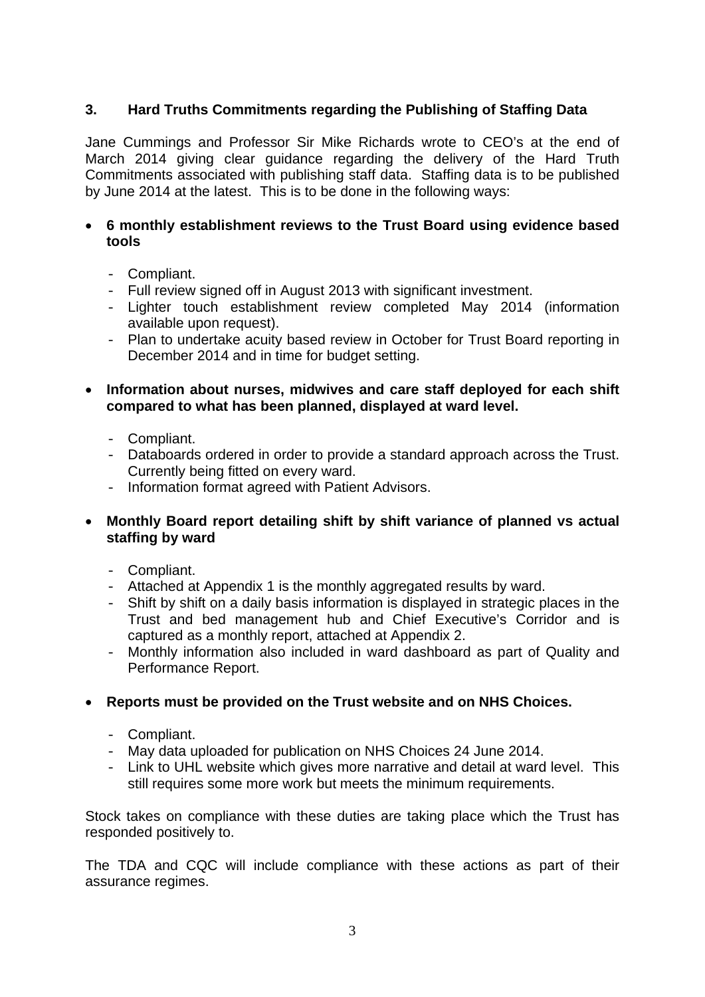## **3. Hard Truths Commitments regarding the Publishing of Staffing Data**

Jane Cummings and Professor Sir Mike Richards wrote to CEO's at the end of March 2014 giving clear guidance regarding the delivery of the Hard Truth Commitments associated with publishing staff data. Staffing data is to be published by June 2014 at the latest. This is to be done in the following ways:

### • **6 monthly establishment reviews to the Trust Board using evidence based tools**

- Compliant.
- Full review signed off in August 2013 with significant investment.
- Lighter touch establishment review completed May 2014 (information available upon request).
- Plan to undertake acuity based review in October for Trust Board reporting in December 2014 and in time for budget setting.

### • **Information about nurses, midwives and care staff deployed for each shift compared to what has been planned, displayed at ward level.**

- Compliant.
- Databoards ordered in order to provide a standard approach across the Trust. Currently being fitted on every ward.
- Information format agreed with Patient Advisors.

### • **Monthly Board report detailing shift by shift variance of planned vs actual staffing by ward**

- Compliant.
- Attached at Appendix 1 is the monthly aggregated results by ward.
- Shift by shift on a daily basis information is displayed in strategic places in the Trust and bed management hub and Chief Executive's Corridor and is captured as a monthly report, attached at Appendix 2.
- Monthly information also included in ward dashboard as part of Quality and Performance Report.

### • **Reports must be provided on the Trust website and on NHS Choices.**

- Compliant.
- May data uploaded for publication on NHS Choices 24 June 2014.
- Link to UHL website which gives more narrative and detail at ward level. This still requires some more work but meets the minimum requirements.

Stock takes on compliance with these duties are taking place which the Trust has responded positively to.

The TDA and CQC will include compliance with these actions as part of their assurance regimes.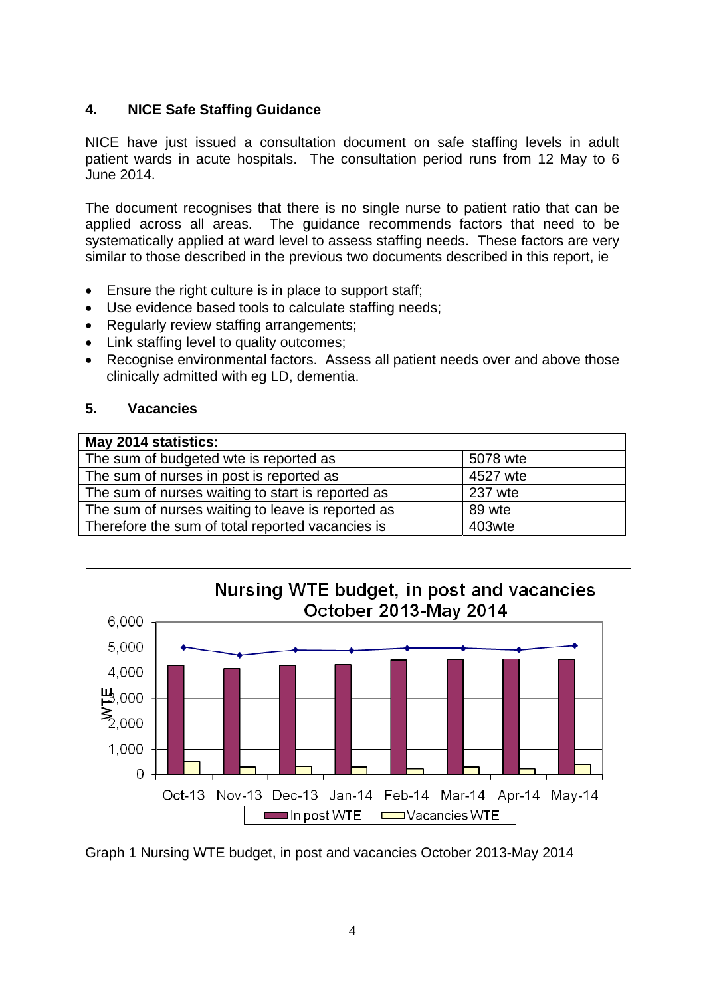## **4. NICE Safe Staffing Guidance**

NICE have just issued a consultation document on safe staffing levels in adult patient wards in acute hospitals. The consultation period runs from 12 May to 6 June 2014.

The document recognises that there is no single nurse to patient ratio that can be applied across all areas. The guidance recommends factors that need to be systematically applied at ward level to assess staffing needs. These factors are very similar to those described in the previous two documents described in this report, ie

- Ensure the right culture is in place to support staff;
- Use evidence based tools to calculate staffing needs;
- Regularly review staffing arrangements;
- Link staffing level to quality outcomes;
- Recognise environmental factors. Assess all patient needs over and above those clinically admitted with eg LD, dementia.

## **5. Vacancies**

| May 2014 statistics:                              |          |
|---------------------------------------------------|----------|
| The sum of budgeted wte is reported as            | 5078 wte |
| The sum of nurses in post is reported as          | 4527 wte |
| The sum of nurses waiting to start is reported as | 237 wte  |
| The sum of nurses waiting to leave is reported as | 89 wte   |
| Therefore the sum of total reported vacancies is  | 403wte   |



Graph 1 Nursing WTE budget, in post and vacancies October 2013-May 2014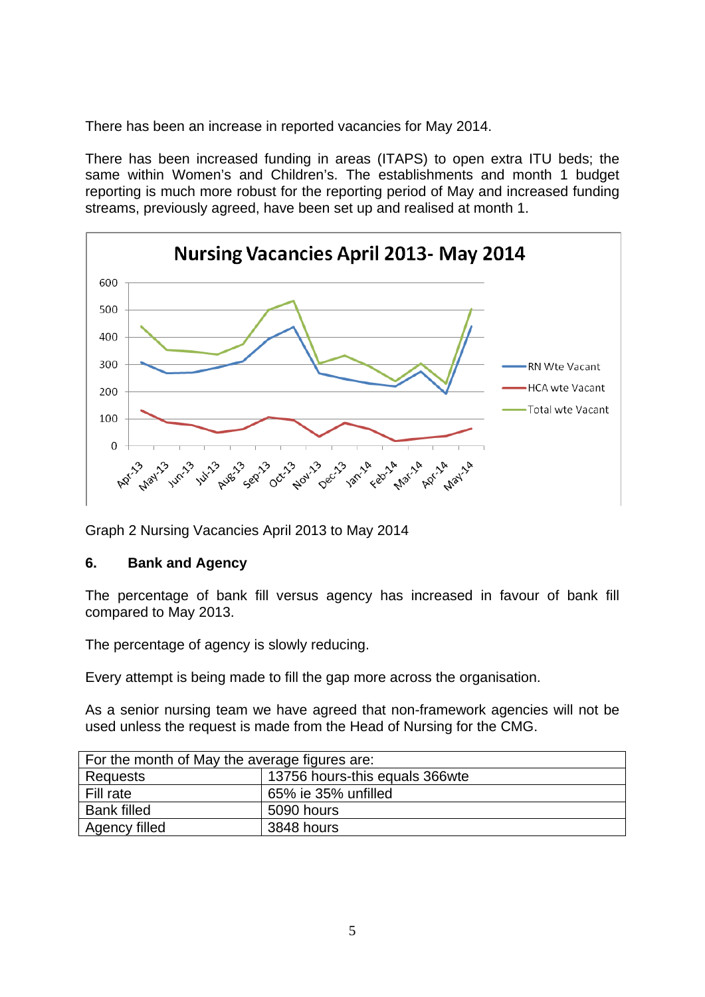There has been an increase in reported vacancies for May 2014.

There has been increased funding in areas (ITAPS) to open extra ITU beds; the same within Women's and Children's. The establishments and month 1 budget reporting is much more robust for the reporting period of May and increased funding streams, previously agreed, have been set up and realised at month 1.



Graph 2 Nursing Vacancies April 2013 to May 2014

## **6. Bank and Agency**

The percentage of bank fill versus agency has increased in favour of bank fill compared to May 2013.

The percentage of agency is slowly reducing.

Every attempt is being made to fill the gap more across the organisation.

As a senior nursing team we have agreed that non-framework agencies will not be used unless the request is made from the Head of Nursing for the CMG.

| For the month of May the average figures are: |                                |  |  |  |  |  |  |
|-----------------------------------------------|--------------------------------|--|--|--|--|--|--|
| Requests                                      | 13756 hours-this equals 366wte |  |  |  |  |  |  |
| Fill rate                                     | 65% ie 35% unfilled            |  |  |  |  |  |  |
| <b>Bank filled</b>                            | 5090 hours                     |  |  |  |  |  |  |
| Agency filled                                 | 3848 hours                     |  |  |  |  |  |  |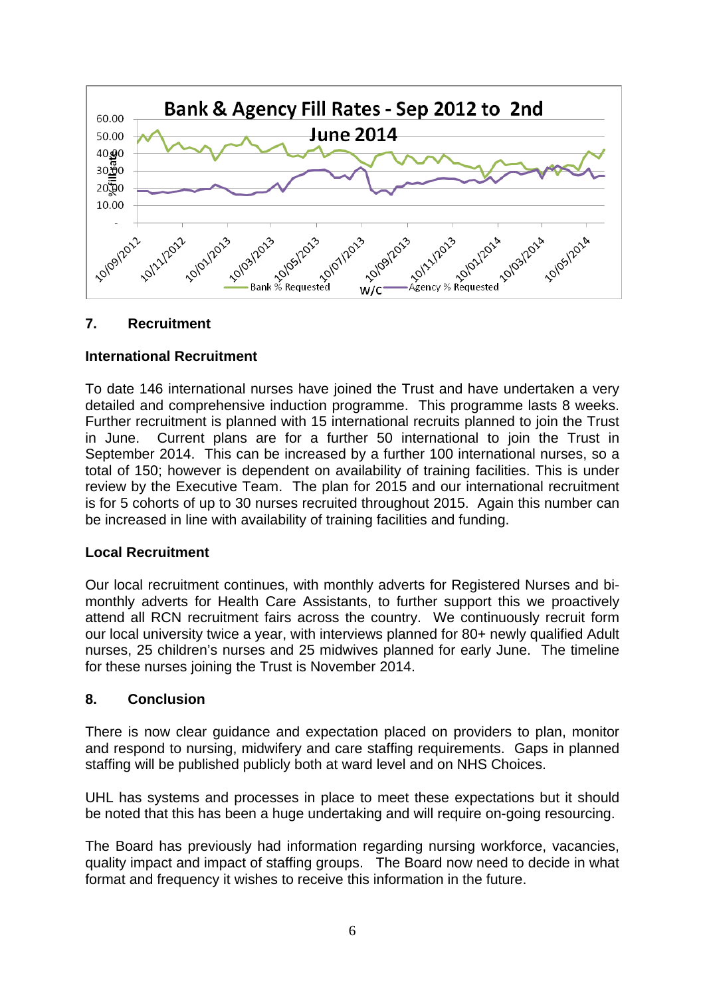

## **7. Recruitment**

## **International Recruitment**

To date 146 international nurses have joined the Trust and have undertaken a very detailed and comprehensive induction programme. This programme lasts 8 weeks. Further recruitment is planned with 15 international recruits planned to join the Trust in June. Current plans are for a further 50 international to join the Trust in September 2014. This can be increased by a further 100 international nurses, so a total of 150; however is dependent on availability of training facilities. This is under review by the Executive Team. The plan for 2015 and our international recruitment is for 5 cohorts of up to 30 nurses recruited throughout 2015. Again this number can be increased in line with availability of training facilities and funding.

### **Local Recruitment**

Our local recruitment continues, with monthly adverts for Registered Nurses and bimonthly adverts for Health Care Assistants, to further support this we proactively attend all RCN recruitment fairs across the country. We continuously recruit form our local university twice a year, with interviews planned for 80+ newly qualified Adult nurses, 25 children's nurses and 25 midwives planned for early June. The timeline for these nurses joining the Trust is November 2014.

### **8. Conclusion**

There is now clear guidance and expectation placed on providers to plan, monitor and respond to nursing, midwifery and care staffing requirements. Gaps in planned staffing will be published publicly both at ward level and on NHS Choices.

UHL has systems and processes in place to meet these expectations but it should be noted that this has been a huge undertaking and will require on-going resourcing.

The Board has previously had information regarding nursing workforce, vacancies, quality impact and impact of staffing groups. The Board now need to decide in what format and frequency it wishes to receive this information in the future.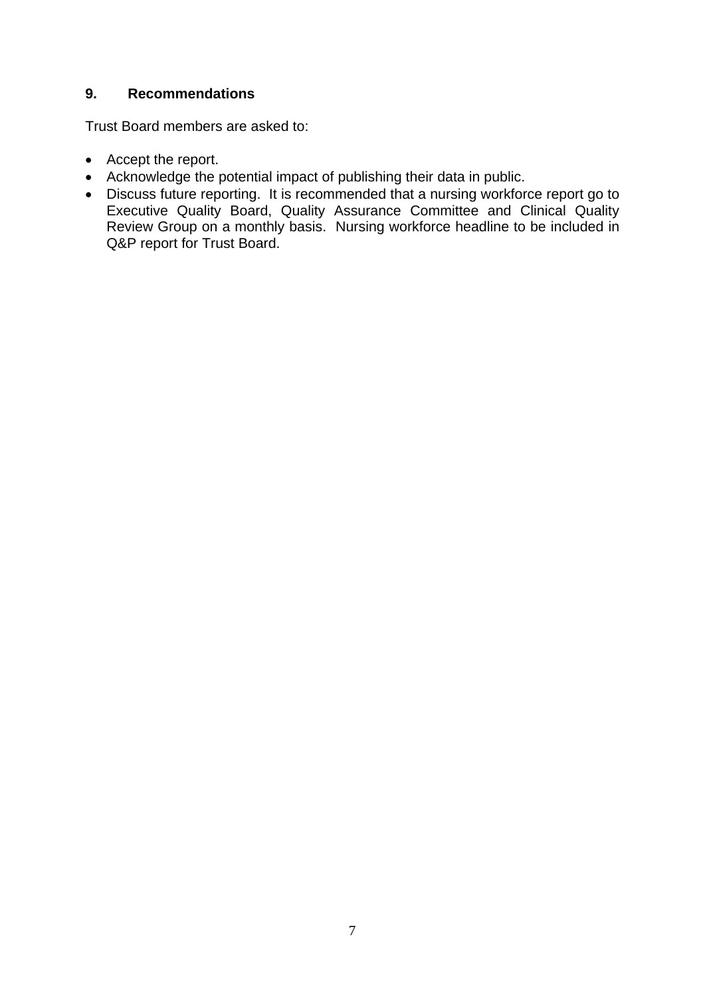### **9. Recommendations**

Trust Board members are asked to:

- Accept the report.
- Acknowledge the potential impact of publishing their data in public.
- Discuss future reporting. It is recommended that a nursing workforce report go to Executive Quality Board, Quality Assurance Committee and Clinical Quality Review Group on a monthly basis. Nursing workforce headline to be included in Q&P report for Trust Board.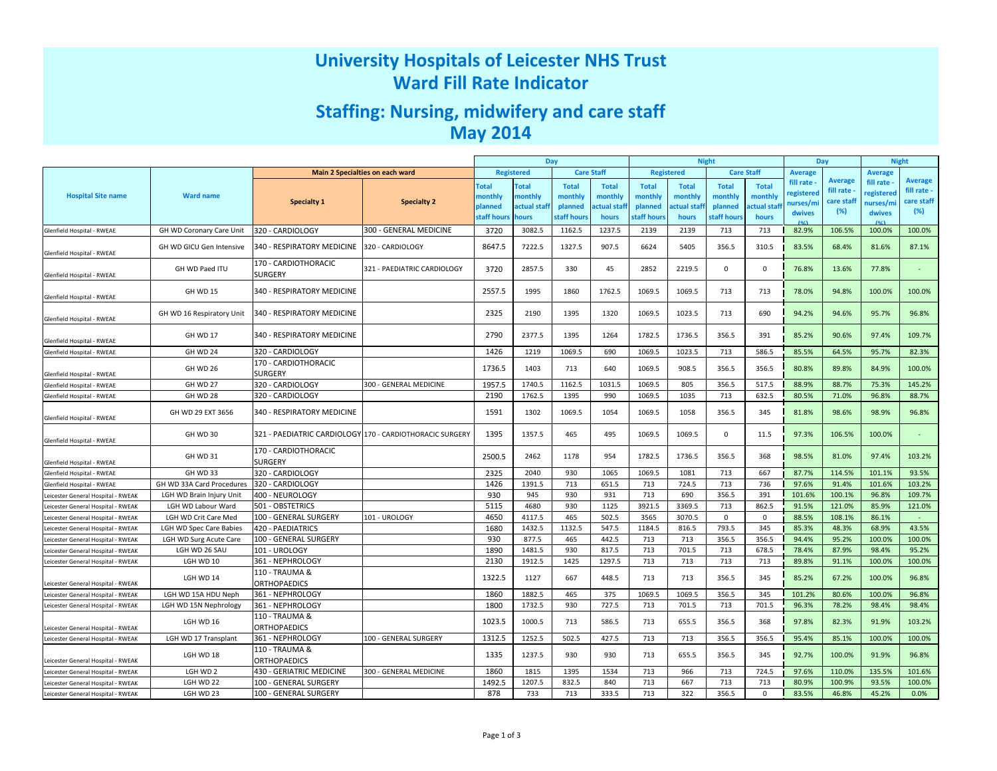# University Hospitals of Leicester NHS TrustWard Fill Rate Indicator

# Staffing: Nursing, midwifery and care staffMay 2014

|                                    |                           |                                                          |                                 | <b>Night</b><br>Day                    |              |              |                   |              | Day               |                | <b>Night</b> |                |                |                |                |
|------------------------------------|---------------------------|----------------------------------------------------------|---------------------------------|----------------------------------------|--------------|--------------|-------------------|--------------|-------------------|----------------|--------------|----------------|----------------|----------------|----------------|
|                                    |                           |                                                          | Main 2 Specialties on each ward | <b>Registered</b><br><b>Care Staff</b> |              |              | <b>Registered</b> |              | <b>Care Staff</b> | <b>Average</b> |              | <b>Average</b> |                |                |                |
|                                    |                           |                                                          |                                 | <b>Total</b>                           | <b>Total</b> | <b>Total</b> | <b>Total</b>      | <b>Total</b> | <b>Total</b>      | <b>Total</b>   | <b>Total</b> | fill rate      | <b>Average</b> | fill rate      | <b>Average</b> |
| <b>Hospital Site name</b>          | <b>Ward name</b>          |                                                          |                                 | monthly                                | nonthly      | monthly      | monthly           | monthly      | monthly           | monthly        | monthly      | egistered      | fill rate      | egistered      | fill rate -    |
|                                    |                           | <b>Specialty 1</b>                                       | <b>Specialty 2</b>              | planned                                | actual staf  | planned      | ctual staf        | planned      | <b>ctual stai</b> | planned        | ctual staf   | nurses/mi      | care staff     | nurses/mi      | care staff     |
|                                    |                           |                                                          |                                 | staff hours                            | <b>nours</b> | staff hour:  | hours             | staff hours  | hours             | staff hour:    | hours        | dwives<br>10/1 | (%)            | dwives<br>f(x) | (%)            |
| Glenfield Hospital - RWEAE         | GH WD Coronary Care Unit  | 320 - CARDIOLOGY                                         | 300 - GENERAL MEDICINE          | 3720                                   | 3082.5       | 1162.5       | 1237.5            | 2139         | 2139              | 713            | 713          | 82.9%          | 106.5%         | 100.0%         | 100.0%         |
| Glenfield Hospital - RWEAE         | GH WD GICU Gen Intensive  | 340 - RESPIRATORY MEDICINE                               | 320 - CARDIOLOGY                | 8647.5                                 | 7222.5       | 1327.5       | 907.5             | 6624         | 5405              | 356.5          | 310.5        | 83.5%          | 68.4%          | 81.6%          | 87.1%          |
| Glenfield Hospital - RWEAE         | GH WD Paed ITU            | 170 - CARDIOTHORACIC<br>SURGERY                          | 321 - PAEDIATRIC CARDIOLOGY     | 3720                                   | 2857.5       | 330          | 45                | 2852         | 2219.5            | $\mathbf{0}$   | $\mathbf 0$  | 76.8%          | 13.6%          | 77.8%          |                |
| Glenfield Hospital - RWEAE         | GH WD 15                  | 340 - RESPIRATORY MEDICINE                               |                                 | 2557.5                                 | 1995         | 1860         | 1762.5            | 1069.5       | 1069.5            | 713            | 713          | 78.0%          | 94.8%          | 100.0%         | 100.0%         |
| Glenfield Hospital - RWEAE         | GH WD 16 Respiratory Unit | 340 - RESPIRATORY MEDICINE                               |                                 | 2325                                   | 2190         | 1395         | 1320              | 1069.5       | 1023.5            | 713            | 690          | 94.2%          | 94.6%          | 95.7%          | 96.8%          |
| Glenfield Hospital - RWEAE         | GH WD 17                  | 340 - RESPIRATORY MEDICINE                               |                                 | 2790                                   | 2377.5       | 1395         | 1264              | 1782.5       | 1736.5            | 356.5          | 391          | 85.2%          | 90.6%          | 97.4%          | 109.7%         |
| Glenfield Hospital - RWEAE         | GH WD 24                  | 320 - CARDIOLOGY                                         |                                 | 1426                                   | 1219         | 1069.5       | 690               | 1069.5       | 1023.5            | 713            | 586.5        | 85.5%          | 64.5%          | 95.7%          | 82.3%          |
| Glenfield Hospital - RWEAE         | GH WD 26                  | 170 - CARDIOTHORACIC<br><b>SURGERY</b>                   |                                 | 1736.5                                 | 1403         | 713          | 640               | 1069.5       | 908.5             | 356.5          | 356.5        | 80.8%          | 89.8%          | 84.9%          | 100.0%         |
| Glenfield Hospital - RWEAE         | GH WD 27                  | 320 - CARDIOLOGY                                         | 300 - GENERAL MEDICINE          | 1957.5                                 | 1740.5       | 1162.5       | 1031.5            | 1069.5       | 805               | 356.5          | 517.5        | 88.9%          | 88.7%          | 75.3%          | 145.2%         |
| Glenfield Hospital - RWEAE         | GH WD 28                  | 320 - CARDIOLOGY                                         |                                 | 2190                                   | 1762.5       | 1395         | 990               | 1069.5       | 1035              | 713            | 632.5        | 80.5%          | 71.0%          | 96.8%          | 88.7%          |
| Glenfield Hospital - RWEAE         | GH WD 29 EXT 3656         | 340 - RESPIRATORY MEDICINE                               |                                 | 1591                                   | 1302         | 1069.5       | 1054              | 1069.5       | 1058              | 356.5          | 345          | 81.8%          | 98.6%          | 98.9%          | 96.8%          |
| Glenfield Hospital - RWEAE         | GH WD 30                  | 321 - PAEDIATRIC CARDIOLOGY 170 - CARDIOTHORACIC SURGERY |                                 | 1395                                   | 1357.5       | 465          | 495               | 1069.5       | 1069.5            | $\mathbf{0}$   | 11.5         | 97.3%          | 106.5%         | 100.0%         | $\sim$         |
| Glenfield Hospital - RWEAE         | GH WD 31                  | 170 - CARDIOTHORACIC<br><b>SURGERY</b>                   |                                 | 2500.5                                 | 2462         | 1178         | 954               | 1782.5       | 1736.5            | 356.5          | 368          | 98.5%          | 81.0%          | 97.4%          | 103.2%         |
| Glenfield Hospital - RWEAE         | GH WD 33                  | 320 - CARDIOLOGY                                         |                                 | 2325                                   | 2040         | 930          | 1065              | 1069.5       | 1081              | 713            | 667          | 87.7%          | 114.5%         | 101.1%         | 93.5%          |
| Glenfield Hospital - RWEAE         | GH WD 33A Card Procedures | 320 - CARDIOLOGY                                         |                                 | 1426                                   | 1391.5       | 713          | 651.5             | 713          | 724.5             | 713            | 736          | 97.6%          | 91.4%          | 101.6%         | 103.2%         |
| Leicester General Hospital - RWEAK | LGH WD Brain Injury Unit  | 400 - NEUROLOGY                                          |                                 | 930                                    | 945          | 930          | 931               | 713          | 690               | 356.5          | 391          | 101.6%         | 100.1%         | 96.8%          | 109.7%         |
| Leicester General Hospital - RWEAK | LGH WD Labour Ward        | 501 - OBSTETRICS                                         |                                 | 5115                                   | 4680         | 930          | 1125              | 3921.5       | 3369.5            | 713            | 862.5        | 91.5%          | 121.0%         | 85.9%          | 121.0%         |
| Leicester General Hospital - RWEAK | LGH WD Crit Care Med      | 100 - GENERAL SURGERY                                    | 101 - UROLOGY                   | 4650                                   | 4117.5       | 465          | 502.5             | 3565         | 3070.5            | $\mathbf 0$    | $\mathbf 0$  | 88.5%          | 108.1%         | 86.1%          | $\sim$         |
| Leicester General Hospital - RWEAK | LGH WD Spec Care Babies   | 420 - PAEDIATRICS                                        |                                 | 1680                                   | 1432.5       | 1132.5       | 547.5             | 1184.5       | 816.5             | 793.5          | 345          | 85.3%          | 48.3%          | 68.9%          | 43.5%          |
| Leicester General Hospital - RWEAK | LGH WD Surg Acute Care    | 100 - GENERAL SURGERY                                    |                                 | 930                                    | 877.5        | 465          | 442.5             | 713          | 713               | 356.5          | 356.5        | 94.4%          | 95.2%          | 100.0%         | 100.0%         |
| Leicester General Hospital - RWEAK | LGH WD 26 SAU             | 101 - UROLOGY                                            |                                 | 1890                                   | 1481.5       | 930          | 817.5             | 713          | 701.5             | 713            | 678.5        | 78.4%          | 87.9%          | 98.4%          | 95.2%          |
| Leicester General Hospital - RWEAK | LGH WD 10                 | 361 - NEPHROLOGY                                         |                                 | 2130                                   | 1912.5       | 1425         | 1297.5            | 713          | 713               | 713            | 713          | 89.8%          | 91.1%          | 100.0%         | 100.0%         |
| Leicester General Hospital - RWEAK | LGH WD 14                 | 110 - TRAUMA &<br><b>ORTHOPAEDICS</b>                    |                                 | 1322.5                                 | 1127         | 667          | 448.5             | 713          | 713               | 356.5          | 345          | 85.2%          | 67.2%          | 100.0%         | 96.8%          |
| Leicester General Hospital - RWEAK | LGH WD 15A HDU Neph       | 361 - NEPHROLOGY                                         |                                 | 1860                                   | 1882.5       | 465          | 375               | 1069.5       | 1069.5            | 356.5          | 345          | 101.2%         | 80.6%          | 100.0%         | 96.8%          |
| Leicester General Hospital - RWEAK | LGH WD 15N Nephrology     | 361 - NEPHROLOGY                                         |                                 | 1800                                   | 1732.5       | 930          | 727.5             | 713          | 701.5             | 713            | 701.5        | 96.3%          | 78.2%          | 98.4%          | 98.4%          |
| Leicester General Hospital - RWEAK | LGH WD 16                 | 110 - TRAUMA &<br><b>ORTHOPAEDICS</b>                    |                                 | 1023.5                                 | 1000.5       | 713          | 586.5             | 713          | 655.5             | 356.5          | 368          | 97.8%          | 82.3%          | 91.9%          | 103.2%         |
| Leicester General Hospital - RWEAK | LGH WD 17 Transplant      | 361 - NEPHROLOGY                                         | 100 - GENERAL SURGERY           | 1312.5                                 | 1252.5       | 502.5        | 427.5             | 713          | 713               | 356.5          | 356.5        | 95.4%          | 85.1%          | 100.0%         | 100.0%         |
| Leicester General Hospital - RWEAK | LGH WD 18                 | 110 - TRAUMA &<br><b>ORTHOPAEDICS</b>                    |                                 | 1335                                   | 1237.5       | 930          | 930               | 713          | 655.5             | 356.5          | 345          | 92.7%          | 100.0%         | 91.9%          | 96.8%          |
| Leicester General Hospital - RWEAK | LGH WD 2                  | 430 - GERIATRIC MEDICINE                                 | 300 - GENERAL MEDICINE          | 1860                                   | 1815         | 1395         | 1534              | 713          | 966               | 713            | 724.5        | 97.6%          | 110.0%         | 135.5%         | 101.6%         |
| Leicester General Hospital - RWFAK | LGH WD 22                 | 100 - GENERAL SURGERY                                    |                                 | 1492.5                                 | 1207.5       | 832.5        | 840               | 713          | 667               | 713            | 713          | 80.9%          | 100.9%         | 93.5%          | 100.0%         |
| Leicester General Hospital - RWEAK | LGH WD 23                 | 100 - GENERAL SURGERY                                    |                                 | 878                                    | 733          | 713          | 333.5             | 713          | 322               | 356.5          | $\mathbf 0$  | 83.5%          | 46.8%          | 45.2%          | 0.0%           |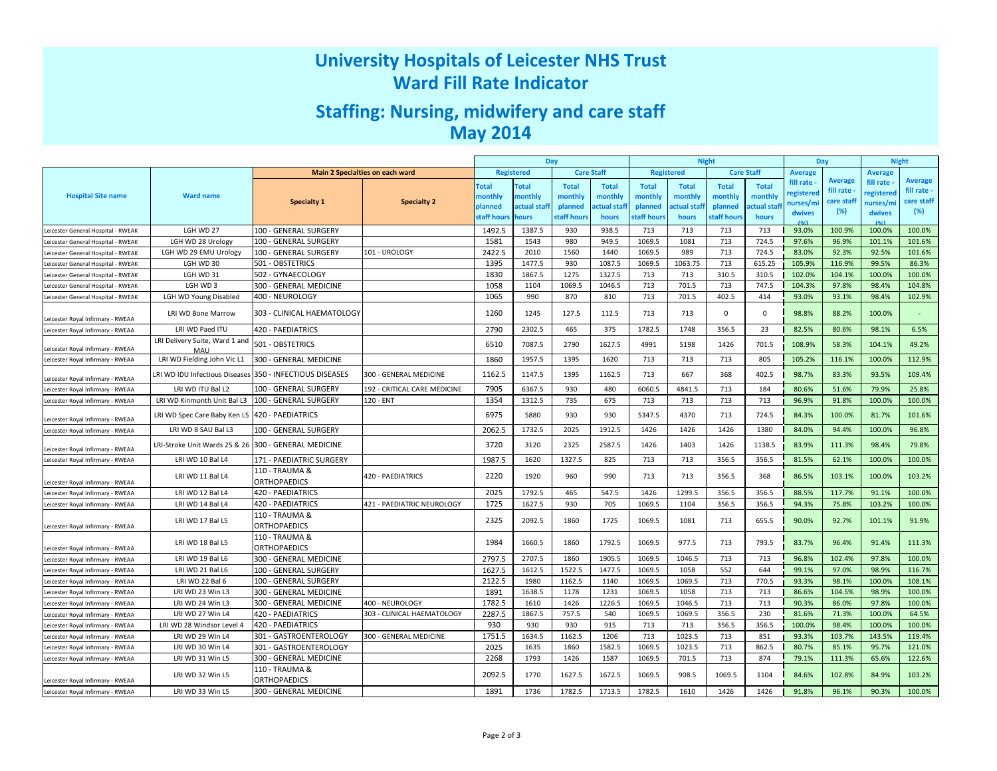# University Hospitals of Leicester NHS TrustWard Fill Rate Indicator

# Staffing: Nursing, midwifery and care staffMay 2014

|                                   |                                       |                                       |                                 | Day          |                   |                   | <b>Night</b>       |                   |              | Day               |              | <b>Night</b> |                |                |                |
|-----------------------------------|---------------------------------------|---------------------------------------|---------------------------------|--------------|-------------------|-------------------|--------------------|-------------------|--------------|-------------------|--------------|--------------|----------------|----------------|----------------|
|                                   |                                       |                                       | Main 2 Specialties on each ward |              | <b>Registered</b> | <b>Care Staff</b> |                    | <b>Registered</b> |              | <b>Care Staff</b> |              | Average      |                | <b>Average</b> |                |
|                                   |                                       |                                       |                                 | <b>Total</b> | <b>Total</b>      | <b>Total</b>      | <b>Total</b>       | <b>Total</b>      | <b>Total</b> | <b>Total</b>      | <b>Total</b> | fill rate    | <b>Average</b> | fill rate      | <b>Average</b> |
| <b>Hospital Site name</b>         | <b>Ward name</b>                      |                                       |                                 | monthly      | nonthly           | monthly           | monthly            | monthly           | monthly      | monthly           | monthly      | registered   | fill rate      | registered     | fill rate -    |
|                                   |                                       | <b>Specialty 1</b>                    | <b>Specialty 2</b>              | planned      | actual staf       | planned           | <b>ctual staff</b> | planned           | ctual staf   | planned           | actual staf  | nurses/mi    | care staff     | nurses/m       | care staff     |
|                                   |                                       |                                       |                                 | taff hours   | <b>ours</b>       | staff hour        | hours              | taff hours        | hours        | staff hour:       | hours        | dwives       | (%)            | dwives         | (%)            |
| eicester General Hospital - RWEAK | LGH WD 27                             | 100 - GENERAL SURGERY                 |                                 | 1492.5       | 1387.5            | 930               | 938.5              | 713               | 713          | 713               | 713          | 93.0%        | 100.9%         | 100.0%         | 100.0%         |
| eicester General Hospital - RWEAK | LGH WD 28 Urology                     | 100 - GENERAL SURGERY                 |                                 | 1581         | 1543              | 980               | 949.5              | 1069.5            | 1081         | 713               | 724.5        | 97.6%        | 96.9%          | 101.1%         | 101.6%         |
| eicester General Hospital - RWEAK | LGH WD 29 EMU Urology                 | 100 - GENERAL SURGERY                 | 101 - UROLOGY                   | 2422.5       | 2010              | 1560              | 1440               | 1069.5            | 989          | 713               | 724.5        | 83.0%        | 92.3%          | 92.5%          | 101.6%         |
| eicester General Hospital - RWEAK | LGH WD 30                             | 501 - OBSTETRICS                      |                                 | 1395         | 1477.5            | 930               | 1087.5             | 1069.5            | 1063.75      | 713               | 615.25       | 105.9%       | 116.9%         | 99.5%          | 86.3%          |
| eicester General Hospital - RWEAK | LGH WD 31                             | 502 - GYNAECOLOGY                     |                                 | 1830         | 1867.5            | 1275              | 1327.5             | 713               | 713          | 310.5             | 310.5        | 102.0%       | 104.1%         | 100.0%         | 100.0%         |
| eicester General Hospital - RWEAK | LGH WD 3                              | 300 - GENERAL MEDICINE                |                                 | 1058         | 1104              | 1069.5            | 1046.5             | 713               | 701.5        | 713               | 747.5        | 104.3%       | 97.8%          | 98.4%          | 104.8%         |
| eicester General Hospital - RWEAK | LGH WD Young Disabled                 | 400 - NEUROLOGY                       |                                 | 1065         | 990               | 870               | 810                | 713               | 701.5        | 402.5             | 414          | 93.0%        | 93.1%          | 98.4%          | 102.9%         |
| eicester Royal Infirmary - RWEAA  | LRI WD Bone Marrow                    | 303 - CLINICAL HAEMATOLOGY            |                                 | 1260         | 1245              | 127.5             | 112.5              | 713               | 713          | $\Omega$          | $\mathbf 0$  | 98.8%        | 88.2%          | 100.0%         |                |
| Leicester Royal Infirmary - RWEAA | LRI WD Paed ITU                       | 420 - PAEDIATRICS                     |                                 | 2790         | 2302.5            | 465               | 375                | 1782.5            | 1748         | 356.5             | 23           | 82.5%        | 80.6%          | 98.1%          | 6.5%           |
| Leicester Royal Infirmary - RWEAA | LRI Delivery Suite, Ward 1 and<br>MAU | 501 - OBSTETRICS                      |                                 | 6510         | 7087.5            | 2790              | 1627.5             | 4991              | 5198         | 1426              | 701.5        | 108.9%       | 58.3%          | 104.1%         | 49.2%          |
| Leicester Royal Infirmary - RWEAA | LRI WD Fielding John Vic L1           | 300 - GENERAL MEDICINE                |                                 | 1860         | 1957.5            | 1395              | 1620               | 713               | 713          | 713               | 805          | 105.2%       | 116.1%         | 100.0%         | 112.9%         |
| Leicester Royal Infirmary - RWEAA | LRI WD IDU Infectious Diseases        | 350 - INFECTIOUS DISEASES             | 300 - GENERAL MEDICINE          | 1162.5       | 1147.5            | 1395              | 1162.5             | 713               | 667          | 368               | 402.5        | 98.7%        | 83.3%          | 93.5%          | 109.4%         |
| Leicester Royal Infirmary - RWEAA | LRI WD ITU Bal L2                     | 100 - GENERAL SURGERY                 | 192 - CRITICAL CARE MEDICINE    | 7905         | 6367.5            | 930               | 480                | 6060.5            | 4841.5       | 713               | 184          | 80.6%        | 51.6%          | 79.9%          | 25.8%          |
| Leicester Royal Infirmary - RWEAA | LRI WD Kinmonth Unit Bal L3           | 100 - GENERAL SURGERY                 | 120 - ENT                       | 1354         | 1312.5            | 735               | 675                | 713               | 713          | 713               | 713          | 96.9%        | 91.8%          | 100.0%         | 100.0%         |
| Leicester Royal Infirmary - RWEAA | LRI WD Spec Care Baby Ken L5          | 420 - PAEDIATRICS                     |                                 | 6975         | 5880              | 930               | 930                | 5347.5            | 4370         | 713               | 724.5        | 84.3%        | 100.0%         | 81.7%          | 101.6%         |
| Leicester Royal Infirmary - RWEAA | LRI WD 8 SAU Bal L3                   | 100 - GENERAL SURGERY                 |                                 | 2062.5       | 1732.5            | 2025              | 1912.5             | 1426              | 1426         | 1426              | 1380         | 84.0%        | 94.4%          | 100.0%         | 96.8%          |
| Leicester Royal Infirmary - RWEAA | LRI-Stroke Unit Wards 25 & 26         | 300 - GENERAL MEDICINE                |                                 | 3720         | 3120              | 2325              | 2587.5             | 1426              | 1403         | 1426              | 1138.5       | 83.9%        | 111.3%         | 98.4%          | 79.8%          |
| Leicester Royal Infirmary - RWEAA | LRI WD 10 Bal L4                      | 171 - PAEDIATRIC SURGERY              |                                 | 1987.5       | 1620              | 1327.5            | 825                | 713               | 713          | 356.5             | 356.5        | 81.5%        | 62.1%          | 100.0%         | 100.0%         |
| Leicester Royal Infirmary - RWEAA | LRI WD 11 Bal L4                      | 110 - TRAUMA &<br><b>ORTHOPAEDICS</b> | 420 - PAEDIATRICS               | 2220         | 1920              | 960               | 990                | 713               | 713          | 356.5             | 368          | 86.5%        | 103.1%         | 100.0%         | 103.2%         |
| eicester Royal Infirmary - RWEAA  | LRI WD 12 Bal L4                      | 420 - PAEDIATRICS                     |                                 | 2025         | 1792.5            | 465               | 547.5              | 1426              | 1299.5       | 356.5             | 356.5        | 88.5%        | 117.7%         | 91.1%          | 100.0%         |
| Leicester Royal Infirmary - RWEAA | LRI WD 14 Bal L4                      | <b>420 - PAEDIATRICS</b>              | 421 - PAEDIATRIC NEUROLOGY      | 1725         | 1627.5            | 930               | 705                | 1069.5            | 1104         | 356.5             | 356.5        | 94.3%        | 75.8%          | 103.2%         | 100.0%         |
| Leicester Royal Infirmary - RWEAA | LRI WD 17 Bal L5                      | 110 - TRAUMA &<br><b>ORTHOPAEDICS</b> |                                 | 2325         | 2092.5            | 1860              | 1725               | 1069.5            | 1081         | 713               | 655.5        | 90.0%        | 92.7%          | 101.1%         | 91.9%          |
| Leicester Royal Infirmary - RWEAA | LRI WD 18 Bal L5                      | 110 - TRAUMA &<br>ORTHOPAEDICS        |                                 | 1984         | 1660.5            | 1860              | 1792.5             | 1069.5            | 977.5        | 713               | 793.5        | 83.7%        | 96.4%          | 91.4%          | 111.3%         |
| Leicester Royal Infirmary - RWEAA | LRI WD 19 Bal L6                      | 300 - GENERAL MEDICINE                |                                 | 2797.5       | 2707.5            | 1860              | 1905.5             | 1069.5            | 1046.5       | 713               | 713          | 96.8%        | 102.4%         | 97.8%          | 100.0%         |
| Leicester Royal Infirmary - RWEAA | LRI WD 21 Bal L6                      | 100 - GENERAL SURGERY                 |                                 | 1627.5       | 1612.5            | 1522.5            | 1477.5             | 1069.5            | 1058         | 552               | 644          | 99.1%        | 97.0%          | 98.9%          | 116.7%         |
| eicester Royal Infirmary - RWEAA  | LRI WD 22 Bal 6                       | 100 - GENERAL SURGERY                 |                                 | 2122.5       | 1980              | 1162.5            | 1140               | 1069.5            | 1069.5       | 713               | 770.5        | 93.3%        | 98.1%          | 100.0%         | 108.1%         |
| Leicester Royal Infirmary - RWEAA | LRI WD 23 Win L3                      | 300 - GENERAL MEDICINE                |                                 | 1891         | 1638.5            | 1178              | 1231               | 1069.5            | 1058         | 713               | 713          | 86.6%        | 104.5%         | 98.9%          | 100.0%         |
| eicester Royal Infirmary - RWEAA  | LRI WD 24 Win L3                      | 300 - GENERAL MEDICINE                | 400 - NEUROLOGY                 | 1782.5       | 1610              | 1426              | 1226.5             | 1069.5            | 1046.5       | 713               | 713          | 90.3%        | 86.0%          | 97.8%          | 100.0%         |
| Leicester Royal Infirmary - RWEAA | LRI WD 27 Win L4                      | 420 - PAEDIATRICS                     | 303 - CLINICAL HAEMATOLOGY      | 2287.5       | 1867.5            | 757.5             | 540                | 1069.5            | 1069.5       | 356.5             | 230          | 81.6%        | 71.3%          | 100.0%         | 64.5%          |
| eicester Royal Infirmary - RWEAA  | LRI WD 28 Windsor Level 4             | 420 - PAEDIATRICS                     |                                 | 930          | 930               | 930               | 915                | 713               | 713          | 356.5             | 356.5        | 100.0%       | 98.4%          | 100.0%         | 100.0%         |
| Leicester Royal Infirmary - RWEAA | LRI WD 29 Win L4                      | 301 - GASTROENTEROLOGY                | 300 - GENERAL MEDICINE          | 1751.5       | 1634.5            | 1162.5            | 1206               | 713               | 1023.5       | 713               | 851          | 93.3%        | 103.7%         | 143.5%         | 119.4%         |
| eicester Royal Infirmary - RWEAA  | LRI WD 30 Win L4                      | 301 - GASTROENTEROLOGY                |                                 | 2025         | 1635              | 1860              | 1582.5             | 1069.5            | 1023.5       | 713               | 862.5        | 80.7%        | 85.1%          | 95.7%          | 121.0%         |
| Leicester Royal Infirmary - RWEAA | LRI WD 31 Win L5                      | 300 - GENERAL MEDICINE                |                                 | 2268         | 1793              | 1426              | 1587               | 1069.5            | 701.5        | 713               | 874          | 79.1%        | 111.3%         | 65.6%          | 122.6%         |
| Leicester Royal Infirmary - RWEAA | LRI WD 32 Win L5                      | 110 - TRAUMA &<br><b>ORTHOPAEDICS</b> |                                 | 2092.5       | 1770              | 1627.5            | 1672.5             | 1069.5            | 908.5        | 1069.5            | 1104         | 84.6%        | 102.8%         | 84.9%          | 103.2%         |
| Leicester Royal Infirmary - RWEAA | LRI WD 33 Win L5                      | 300 - GENERAL MEDICINE                |                                 | 1891         | 1736              | 1782.5            | 1713.5             | 1782.5            | 1610         | 1426              | 1426         | 91.8%        | 96.1%          | 90.3%          | 100.0%         |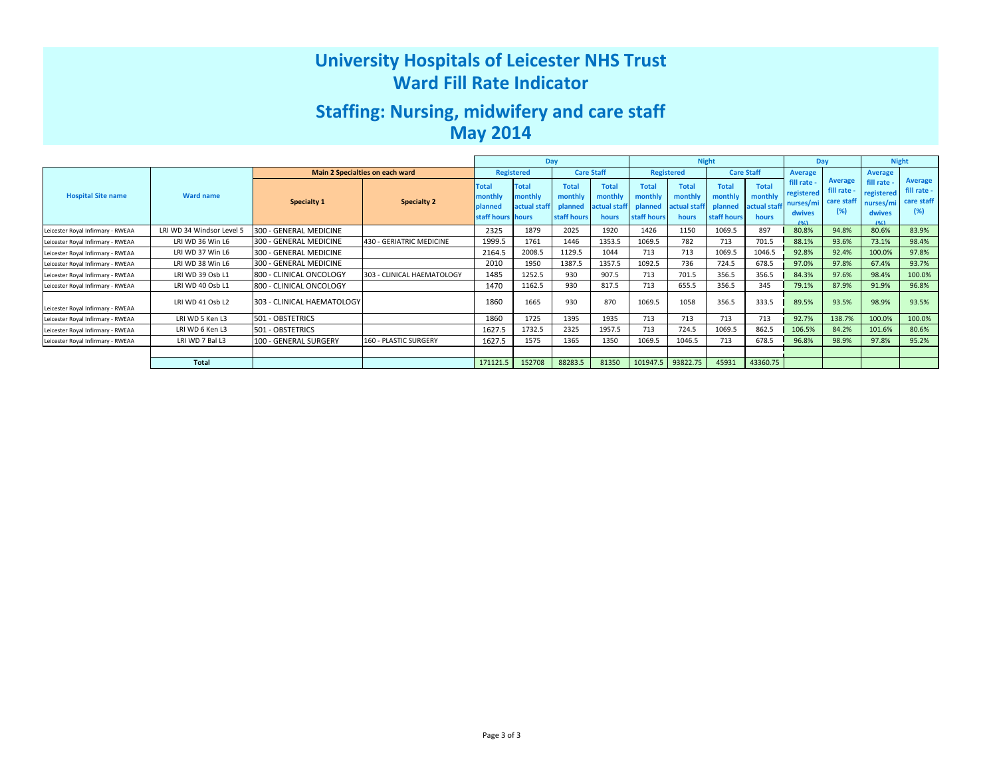# University Hospitals of Leicester NHS TrustWard Fill Rate Indicator

# Staffing: Nursing, midwifery and care staffMay 2014

|                                   |                           |                                 |                            | Day                                                     |                                         |                                                   |                                                  |                                                   | <b>Night</b>                                     |                                                   | Day                                              |                                                                     | <b>Night</b>                                     |                                                        |                                                    |
|-----------------------------------|---------------------------|---------------------------------|----------------------------|---------------------------------------------------------|-----------------------------------------|---------------------------------------------------|--------------------------------------------------|---------------------------------------------------|--------------------------------------------------|---------------------------------------------------|--------------------------------------------------|---------------------------------------------------------------------|--------------------------------------------------|--------------------------------------------------------|----------------------------------------------------|
|                                   |                           | Main 2 Specialties on each ward |                            |                                                         | <b>Registered</b>                       |                                                   | <b>Care Staff</b>                                |                                                   | <b>Registered</b>                                | <b>Care Staff</b>                                 |                                                  | Average                                                             |                                                  | <b>Average</b>                                         |                                                    |
| <b>Hospital Site name</b>         | <b>Ward name</b>          | Specialty 1                     | Specialty 2                | <b>Total</b><br>monthly<br>planned<br>staff hours hours | <b>Total</b><br>nonthly<br>actual staff | <b>Total</b><br>monthly<br>planned<br>staff hours | <b>Total</b><br>monthly<br>actual staff<br>hours | <b>Total</b><br>monthly<br>planned<br>staff hours | <b>Total</b><br>monthly<br>actual staff<br>hours | <b>Total</b><br>monthly<br>planned<br>staff hours | <b>Total</b><br>monthly<br>actual staff<br>hours | fill rate -<br>registered<br>nurses/mi<br>dwives<br>10 <sub>4</sub> | <b>Average</b><br>fill rate<br>care staff<br>(%) | fill rate<br>registered<br>nurses/mi<br>dwives<br>10/1 | <b>Average</b><br>fill rate -<br>care staff<br>(%) |
| Leicester Royal Infirmary - RWEAA | LRI WD 34 Windsor Level 5 | 300 - GENERAL MEDICINE          |                            | 2325                                                    | 1879                                    | 2025                                              | 1920                                             | 1426                                              | 1150                                             | 1069.5                                            | 897                                              | 80.8%                                                               | 94.8%                                            | 80.6%                                                  | 83.9%                                              |
| Leicester Royal Infirmary - RWEAA | LRI WD 36 Win L6          | 300 - GENERAL MEDICINE          | 430 - GERIATRIC MEDICINE   | 1999.5                                                  | 1761                                    | 1446                                              | 1353.5                                           | 1069.5                                            | 782                                              | 713                                               | 701.5                                            | 88.1%                                                               | 93.6%                                            | 73.1%                                                  | 98.4%                                              |
| Leicester Royal Infirmary - RWEAA | LRI WD 37 Win L6          | 300 - GENERAL MEDICINE          |                            | 2164.5                                                  | 2008.5                                  | 1129.5                                            | 1044                                             | 713                                               | 713                                              | 1069.5                                            | 1046.5                                           | 92.8%                                                               | 92.4%                                            | 100.0%                                                 | 97.8%                                              |
| Leicester Royal Infirmary - RWEAA | LRI WD 38 Win L6          | 300 - GENERAL MEDICINE          |                            | 2010                                                    | 1950                                    | 1387.5                                            | 1357.5                                           | 1092.5                                            | 736                                              | 724.5                                             | 678.5                                            | 97.0%                                                               | 97.8%                                            | 67.4%                                                  | 93.7%                                              |
| Leicester Royal Infirmary - RWEAA | LRI WD 39 Osb L1          | 800 - CLINICAL ONCOLOGY         | 303 - CLINICAL HAEMATOLOGY | 1485                                                    | 1252.5                                  | 930                                               | 907.5                                            | 713                                               | 701.5                                            | 356.5                                             | 356.5                                            | 84.3%                                                               | 97.6%                                            | 98.4%                                                  | 100.0%                                             |
| Leicester Royal Infirmary - RWEAA | LRI WD 40 Osb L1          | 800 - CLINICAL ONCOLOGY         |                            | 1470                                                    | 1162.5                                  | 930                                               | 817.5                                            | 713                                               | 655.5                                            | 356.5                                             | 345                                              | 79.1%                                                               | 87.9%                                            | 91.9%                                                  | 96.8%                                              |
| Leicester Royal Infirmary - RWEAA | LRI WD 41 Osb L2          | 303 - CLINICAL HAEMATOLOGY      |                            | 1860                                                    | 1665                                    | 930                                               | 870                                              | 1069.5                                            | 1058                                             | 356.5                                             | 333.5                                            | 89.5%                                                               | 93.5%                                            | 98.9%                                                  | 93.5%                                              |
| Leicester Royal Infirmary - RWEAA | LRI WD 5 Ken L3           | 501 - OBSTETRICS                |                            | 1860                                                    | 1725                                    | 1395                                              | 1935                                             | 713                                               | 713                                              | 713                                               | 713                                              | 92.7%                                                               | 138.7%                                           | 100.0%                                                 | 100.0%                                             |
| Leicester Royal Infirmary - RWEAA | LRI WD 6 Ken L3           | 501 - OBSTETRICS                |                            | 1627.5                                                  | 1732.5                                  | 2325                                              | 1957.5                                           | 713                                               | 724.5                                            | 1069.5                                            | 862.5                                            | 106.5%                                                              | 84.2%                                            | 101.6%                                                 | 80.6%                                              |
| Leicester Royal Infirmary - RWEAA | LRI WD 7 Bal L3           | 100 - GENERAL SURGERY           | 160 - PLASTIC SURGERY      | 1627.5                                                  | 1575                                    | 1365                                              | 1350                                             | 1069.5                                            | 1046.5                                           | 713                                               | 678.5                                            | 96.8%                                                               | 98.9%                                            | 97.8%                                                  | 95.2%                                              |
|                                   |                           |                                 |                            |                                                         |                                         |                                                   |                                                  |                                                   |                                                  |                                                   |                                                  |                                                                     |                                                  |                                                        |                                                    |
|                                   | Total                     |                                 |                            | 171121.5                                                | 152708                                  | 88283.5                                           | 81350                                            | 101947.5                                          | 93822.75                                         | 45931                                             | 43360.75                                         |                                                                     |                                                  |                                                        |                                                    |